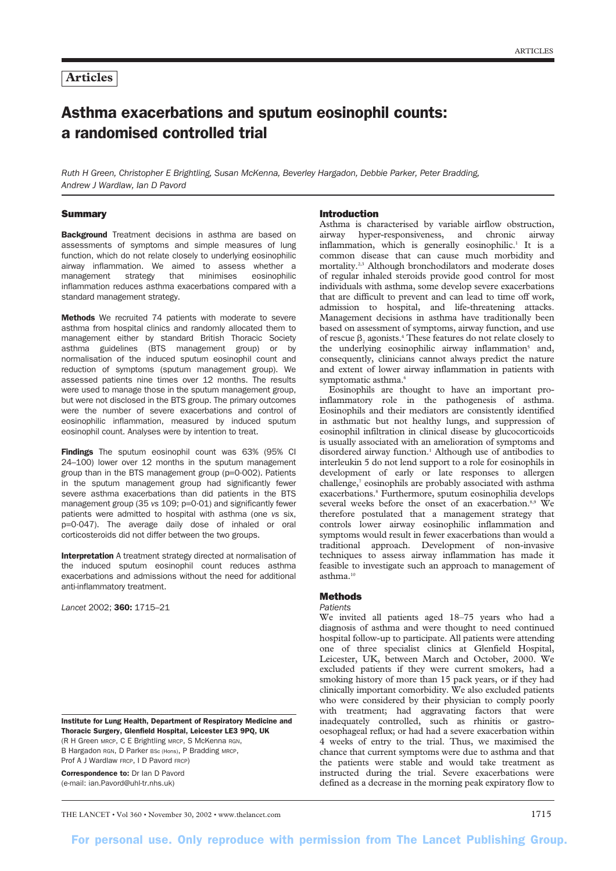# **Articles**

# Asthma exacerbations and sputum eosinophil counts: a randomised controlled trial

*Ruth H Green, Christopher E Brightling, Susan McKenna, Beverley Hargadon, Debbie Parker, Peter Bradding, Andrew J Wardlaw, Ian D Pavord*

## **Summary**

**Background** Treatment decisions in asthma are based on assessments of symptoms and simple measures of lung function, which do not relate closely to underlying eosinophilic airway inflammation. We aimed to assess whether a strategy that minimises eosinophilic inflammation reduces asthma exacerbations compared with a standard management strategy.

Methods We recruited 74 patients with moderate to severe asthma from hospital clinics and randomly allocated them to management either by standard British Thoracic Society asthma guidelines (BTS management group) or by normalisation of the induced sputum eosinophil count and reduction of symptoms (sputum management group). We assessed patients nine times over 12 months. The results were used to manage those in the sputum management group, but were not disclosed in the BTS group. The primary outcomes were the number of severe exacerbations and control of eosinophilic inflammation, measured by induced sputum eosinophil count. Analyses were by intention to treat.

Findings The sputum eosinophil count was 63% (95% CI 24–100) lower over 12 months in the sputum management group than in the BTS management group (p=0·002). Patients in the sputum management group had significantly fewer severe asthma exacerbations than did patients in the BTS management group (35 *vs* 109; p=0·01) and significantly fewer patients were admitted to hospital with asthma (one *vs* six, p=0·047). The average daily dose of inhaled or oral corticosteroids did not differ between the two groups.

Interpretation A treatment strategy directed at normalisation of the induced sputum eosinophil count reduces asthma exacerbations and admissions without the need for additional anti-inflammatory treatment.

*Lancet* 2002; 360: 1715–21

Institute for Lung Health, Department of Respiratory Medicine and Thoracic Surgery, Glenfield Hospital, Leicester LE3 9PQ, UK (R H Green MRCP, C E Brightling MRCP, S McKenna RGN, B Hargadon RGN, D Parker BSc (Hons), P Bradding MRCP, Prof A J Wardlaw FRCP, I D Pavord FRCP)

Correspondence to: Dr Ian D Pavord (e-mail: ian.Pavord@uhl-tr.nhs.uk)

## Introduction

Asthma is characterised by variable airflow obstruction, airway hyper-responsiveness, and chronic airway inflammation, which is generally eosinophilic.<sup>1</sup> It is a common disease that can cause much morbidity and mortality.2,3 Although bronchodilators and moderate doses of regular inhaled steroids provide good control for most individuals with asthma, some develop severe exacerbations that are difficult to prevent and can lead to time off work, admission to hospital, and life-threatening attacks. Management decisions in asthma have traditionally been based on assessment of symptoms, airway function, and use of rescue  $\beta_2$  agonists.<sup>4</sup> These features do not relate closely to the underlying eosinophilic airway inflammation<sup>5</sup> and, consequently, clinicians cannot always predict the nature and extent of lower airway inflammation in patients with symptomatic asthma.<sup>6</sup>

Eosinophils are thought to have an important proinflammatory role in the pathogenesis of asthma. Eosinophils and their mediators are consistently identified in asthmatic but not healthy lungs, and suppression of eosinophil infiltration in clinical disease by glucocorticoids is usually associated with an amelioration of symptoms and disordered airway function.<sup>1</sup> Although use of antibodies to interleukin 5 do not lend support to a role for eosinophils in development of early or late responses to allergen challenge,<sup>7</sup> eosinophils are probably associated with asthma exacerbations.<sup>8</sup> Furthermore, sputum eosinophilia develops several weeks before the onset of an exacerbation.<sup>8,9</sup> We therefore postulated that a management strategy that controls lower airway eosinophilic inflammation and symptoms would result in fewer exacerbations than would a traditional approach. Development of non-invasive techniques to assess airway inflammation has made it feasible to investigate such an approach to management of asthma.10

## Methods

#### *Patients*

We invited all patients aged 18–75 years who had a diagnosis of asthma and were thought to need continued hospital follow-up to participate. All patients were attending one of three specialist clinics at Glenfield Hospital, Leicester, UK, between March and October, 2000. We excluded patients if they were current smokers, had a smoking history of more than 15 pack years, or if they had clinically important comorbidity. We also excluded patients who were considered by their physician to comply poorly with treatment; had aggravating factors that were inadequately controlled, such as rhinitis or gastrooesophageal reflux; or had had a severe exacerbation within 4 weeks of entry to the trial. Thus, we maximised the chance that current symptoms were due to asthma and that the patients were stable and would take treatment as instructed during the trial. Severe exacerbations were defined as a decrease in the morning peak expiratory flow to

THE LANCET • Vol 360 • November 30, 2002 • www.thelancet.com 1715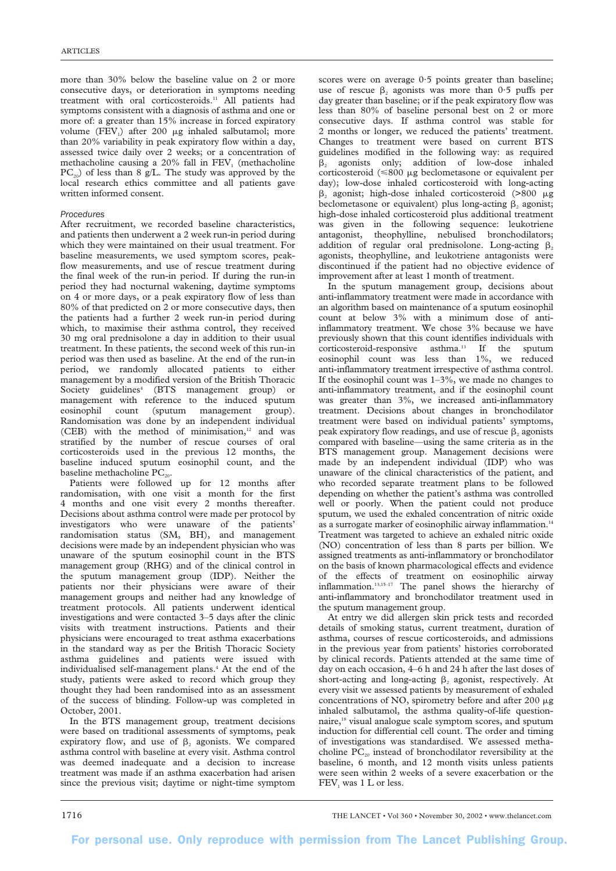more than 30% below the baseline value on 2 or more consecutive days, or deterioration in symptoms needing treatment with oral corticosteroids.11 All patients had symptoms consistent with a diagnosis of asthma and one or more of: a greater than 15% increase in forced expiratory volume (FEV<sub>1</sub>) after 200  $\mu$ g inhaled salbutamol; more than 20% variability in peak expiratory flow within a day, assessed twice daily over 2 weeks; or a concentration of methacholine causing a  $20\%$  fall in FEV<sub>1</sub> (methacholine  $PC_{20}$ ) of less than 8 g/L. The study was approved by the local research ethics committee and all patients gave written informed consent.

## *Procedures*

After recruitment, we recorded baseline characteristics, and patients then underwent a 2 week run-in period during which they were maintained on their usual treatment. For baseline measurements, we used symptom scores, peakflow measurements, and use of rescue treatment during the final week of the run-in period. If during the run-in period they had nocturnal wakening, daytime symptoms on 4 or more days, or a peak expiratory flow of less than 80% of that predicted on 2 or more consecutive days, then the patients had a further 2 week run-in period during which, to maximise their asthma control, they received 30 mg oral prednisolone a day in addition to their usual treatment. In these patients, the second week of this run-in period was then used as baseline. At the end of the run-in period, we randomly allocated patients to either management by a modified version of the British Thoracic Society guidelines<sup>4</sup> (BTS management group) or management with reference to the induced sputum eosinophil count (sputum management group). Randomisation was done by an independent individual (CEB) with the method of minimisation, $12$  and was stratified by the number of rescue courses of oral corticosteroids used in the previous 12 months, the baseline induced sputum eosinophil count, and the baseline methacholine  $PC_{20}$ .

Patients were followed up for 12 months after randomisation, with one visit a month for the first 4 months and one visit every 2 months thereafter. Decisions about asthma control were made per protocol by investigators who were unaware of the patients' randomisation status (SM, BH), and management decisions were made by an independent physician who was unaware of the sputum eosinophil count in the BTS management group (RHG) and of the clinical control in the sputum management group (IDP). Neither the patients nor their physicians were aware of their management groups and neither had any knowledge of treatment protocols. All patients underwent identical investigations and were contacted 3–5 days after the clinic visits with treatment instructions. Patients and their physicians were encouraged to treat asthma exacerbations in the standard way as per the British Thoracic Society asthma guidelines and patients were issued with individualised self-management plans.<sup>4</sup> At the end of the study, patients were asked to record which group they thought they had been randomised into as an assessment of the success of blinding. Follow-up was completed in October, 2001.

In the BTS management group, treatment decisions were based on traditional assessments of symptoms, peak expiratory flow, and use of  $\beta_2$  agonists. We compared asthma control with baseline at every visit. Asthma control was deemed inadequate and a decision to increase treatment was made if an asthma exacerbation had arisen since the previous visit; daytime or night-time symptom scores were on average 0.5 points greater than baseline; use of rescue  $\beta_2$  agonists was more than 0.5 puffs per day greater than baseline; or if the peak expiratory flow was less than 80% of baseline personal best on 2 or more consecutive days. If asthma control was stable for 2 months or longer, we reduced the patients' treatment. Changes to treatment were based on current BTS guidelines modified in the following way: as required  $\beta_2$  agonists only; addition of low-dose inhaled corticosteroid  $(\leq 800 \mu g)$  beclometasone or equivalent per day); low-dose inhaled corticosteroid with long-acting  $\beta_2$  agonist; high-dose inhaled corticosteroid (>800 µg beclometasone or equivalent) plus long-acting  $\beta_2$  agonist; high-dose inhaled corticosteroid plus additional treatment was given in the following sequence: leukotriene antagonist, theophylline, nebulised bronchodilators; addition of regular oral prednisolone. Long-acting  $\beta_2$ agonists, theophylline, and leukotriene antagonists were discontinued if the patient had no objective evidence of improvement after at least 1 month of treatment.

In the sputum management group, decisions about anti-inflammatory treatment were made in accordance with an algorithm based on maintenance of a sputum eosinophil count at below 3% with a minimum dose of antiinflammatory treatment. We chose 3% because we have previously shown that this count identifies individuals with corticosteroid-responsive asthma.13 If the sputum eosinophil count was less than 1%, we reduced anti-inflammatory treatment irrespective of asthma control. If the eosinophil count was  $1-3\%$ , we made no changes to anti-inflammatory treatment, and if the eosinophil count was greater than 3%, we increased anti-inflammatory treatment. Decisions about changes in bronchodilator treatment were based on individual patients' symptoms, peak expiratory flow readings, and use of rescue  $\beta_2$  agonists compared with baseline—using the same criteria as in the BTS management group. Management decisions were made by an independent individual (IDP) who was unaware of the clinical characteristics of the patient, and who recorded separate treatment plans to be followed depending on whether the patient's asthma was controlled well or poorly. When the patient could not produce sputum, we used the exhaled concentration of nitric oxide as a surrogate marker of eosinophilic airway inflammation.<sup>14</sup> Treatment was targeted to achieve an exhaled nitric oxide (NO) concentration of less than 8 parts per billion. We assigned treatments as anti-inflammatory or bronchodilator on the basis of known pharmacological effects and evidence of the effects of treatment on eosinophilic airway inflammation.13,15–17 The panel shows the hierarchy of anti-inflammatory and bronchodilator treatment used in the sputum management group.

At entry we did allergen skin prick tests and recorded details of smoking status, current treatment, duration of asthma, courses of rescue corticosteroids, and admissions in the previous year from patients' histories corroborated by clinical records. Patients attended at the same time of day on each occasion, 4–6 h and 24 h after the last doses of short-acting and long-acting  $\beta_2$  agonist, respectively. At every visit we assessed patients by measurement of exhaled concentrations of NO, spirometry before and after 200  $\mu$ g inhaled salbutamol, the asthma quality-of-life questionnaire,18 visual analogue scale symptom scores, and sputum induction for differential cell count. The order and timing of investigations was standardised. We assessed methacholine  $\overline{PC}_{20}$  instead of bronchodilator reversibility at the baseline, 6 month, and 12 month visits unless patients were seen within 2 weeks of a severe exacerbation or the  $FEV_1$  was 1 L or less.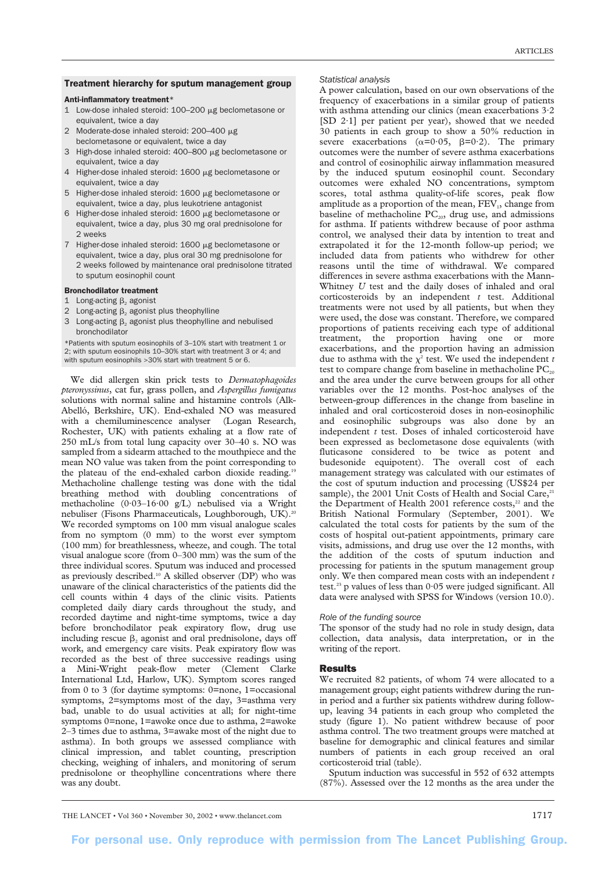## Treatment hierarchy for sputum management group

#### Anti-inflammatory treatment\*

- 1 Low-dose inhaled steroid: 100-200 µg beclometasone or equivalent, twice a day
- 2 Moderate-dose inhaled steroid: 200-400 µg beclometasone or equivalent, twice a day
- 3 High-dose inhaled steroid: 400–800 µg beclometasone or equivalent, twice a day
- 4 Higher-dose inhaled steroid: 1600 µg beclometasone or equivalent, twice a day
- 5 Higher-dose inhaled steroid:  $1600 \mu$ g beclometasone or equivalent, twice a day, plus leukotriene antagonist
- 6 Higher-dose inhaled steroid:  $1600 \mu$ g beclometasone or equivalent, twice a day, plus 30 mg oral prednisolone for 2 weeks
- 7 Higher-dose inhaled steroid: 1600 µg beclometasone or equivalent, twice a day, plus oral 30 mg prednisolone for 2 weeks followed by maintenance oral prednisolone titrated to sputum eosinophil count

## Bronchodilator treatment

- 1 Long-acting  $\beta_2$  agonist
- 2 Long-acting  $\beta_2$  agonist plus theophylline
- 3 Long-acting  $\beta_2$  agonist plus theophylline and nebulised bronchodilator

\*Patients with sputum eosinophils of 3–10% start with treatment 1 or 2; with sputum eosinophils 10–30% start with treatment 3 or 4; and with sputum eosinophils >30% start with treatment 5 or 6.

We did allergen skin prick tests to *Dermatophagoides pteronyssinus*, cat fur, grass pollen, and *Aspergillus fumigatus* solutions with normal saline and histamine controls (Alk-Abelló, Berkshire, UK). End-exhaled NO was measured with a chemiluminescence analyser (Logan Research, Rochester, UK) with patients exhaling at a flow rate of 250 mL/s from total lung capacity over 30–40 s. NO was sampled from a sidearm attached to the mouthpiece and the mean NO value was taken from the point corresponding to the plateau of the end-exhaled carbon dioxide reading.<sup>19</sup> Methacholine challenge testing was done with the tidal breathing method with doubling concentrations of methacholine (0·03–16·00 g/L) nebulised via a Wright nebuliser (Fisons Pharmaceuticals, Loughborough, UK).20 We recorded symptoms on 100 mm visual analogue scales from no symptom (0 mm) to the worst ever symptom (100 mm) for breathlessness, wheeze, and cough. The total visual analogue score (from 0–300 mm) was the sum of the three individual scores. Sputum was induced and processed as previously described.<sup>10</sup> A skilled observer (DP) who was unaware of the clinical characteristics of the patients did the cell counts within 4 days of the clinic visits. Patients completed daily diary cards throughout the study, and recorded daytime and night-time symptoms, twice a day before bronchodilator peak expiratory flow, drug use including rescue  $\beta_2$  agonist and oral prednisolone, days off work, and emergency care visits. Peak expiratory flow was recorded as the best of three successive readings using a Mini-Wright peak-flow meter (Clement Clarke International Ltd, Harlow, UK). Symptom scores ranged from 0 to 3 (for daytime symptoms: 0=none, 1=occasional symptoms, 2=symptoms most of the day, 3=asthma very bad, unable to do usual activities at all; for night-time symptoms 0=none, 1=awoke once due to asthma, 2=awoke 2–3 times due to asthma, 3=awake most of the night due to asthma). In both groups we assessed compliance with clinical impression, and tablet counting, prescription checking, weighing of inhalers, and monitoring of serum prednisolone or theophylline concentrations where there was any doubt.

#### *Statistical analysis*

A power calculation, based on our own observations of the frequency of exacerbations in a similar group of patients with asthma attending our clinics (mean exacerbations 3·2 [SD 2·1] per patient per year), showed that we needed 30 patients in each group to show a 50% reduction in severe exacerbations ( $\alpha=0.05$ ,  $\beta=0.2$ ). The primary outcomes were the number of severe asthma exacerbations and control of eosinophilic airway inflammation measured by the induced sputum eosinophil count. Secondary outcomes were exhaled NO concentrations, symptom scores, total asthma quality-of-life scores, peak flow amplitude as a proportion of the mean,  $FEV<sub>1</sub>$ , change from baseline of methacholine  $PC_{20}$ , drug use, and admissions for asthma. If patients withdrew because of poor asthma control, we analysed their data by intention to treat and extrapolated it for the 12-month follow-up period; we included data from patients who withdrew for other reasons until the time of withdrawal. We compared differences in severe asthma exacerbations with the Mann-Whitney *U* test and the daily doses of inhaled and oral corticosteroids by an independent *t* test. Additional treatments were not used by all patients, but when they were used, the dose was constant. Therefore, we compared proportions of patients receiving each type of additional treatment, the proportion having one or more exacerbations, and the proportion having an admission due to asthma with the  $\chi^2$  test. We used the independent *t* test to compare change from baseline in methacholine  $PC_{20}$ and the area under the curve between groups for all other variables over the 12 months. Post-hoc analyses of the between-group differences in the change from baseline in inhaled and oral corticosteroid doses in non-eosinophilic and eosinophilic subgroups was also done by an independent *t* test. Doses of inhaled corticosteroid have been expressed as beclometasone dose equivalents (with fluticasone considered to be twice as potent and budesonide equipotent). The overall cost of each management strategy was calculated with our estimates of the cost of sputum induction and processing (US\$24 per sample), the 2001 Unit Costs of Health and Social Care,<sup>21</sup> the Department of Health 2001 reference costs,<sup>22</sup> and the British National Formulary (September, 2001). We calculated the total costs for patients by the sum of the costs of hospital out-patient appointments, primary care visits, admissions, and drug use over the 12 months, with the addition of the costs of sputum induction and processing for patients in the sputum management group only. We then compared mean costs with an independent *t* test.<sup>23</sup> p values of less than  $0.05$  were judged significant. All data were analysed with SPSS for Windows (version 10.0).

#### *Role of the funding source*

The sponsor of the study had no role in study design, data collection, data analysis, data interpretation, or in the writing of the report.

## Results

We recruited 82 patients, of whom 74 were allocated to a management group; eight patients withdrew during the runin period and a further six patients withdrew during followup, leaving 34 patients in each group who completed the study (figure 1). No patient withdrew because of poor asthma control. The two treatment groups were matched at baseline for demographic and clinical features and similar numbers of patients in each group received an oral corticosteroid trial (table).

Sputum induction was successful in 552 of 632 attempts (87%). Assessed over the 12 months as the area under the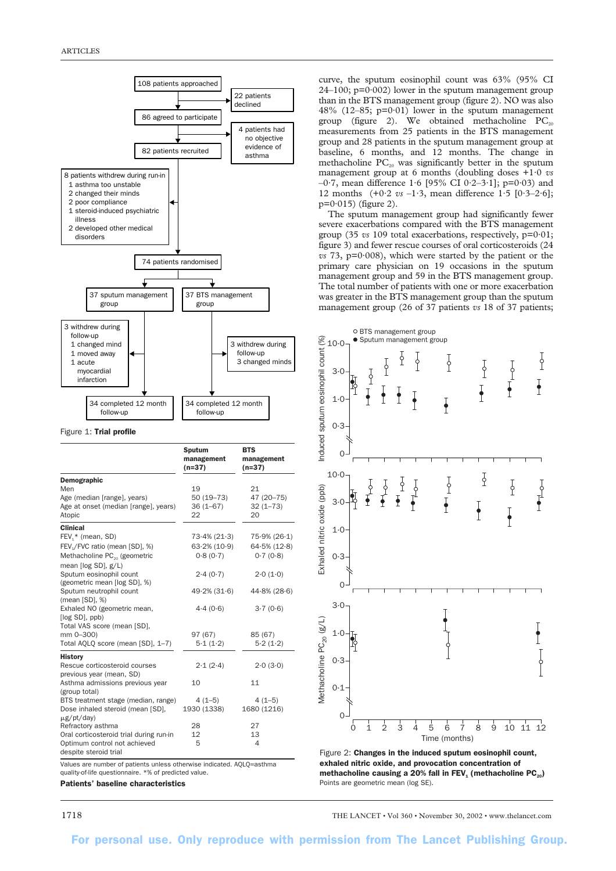

Figure 1: Trial profile

|                                                                 | <b>Sputum</b><br>management<br>$(n=37)$ | <b>BTS</b><br>management<br>$(n=37)$ |
|-----------------------------------------------------------------|-----------------------------------------|--------------------------------------|
| Demographic                                                     |                                         |                                      |
| Men                                                             | 19                                      | 21                                   |
| Age (median [range], years)                                     | 50 (19-73)                              | 47 (20-75)                           |
| Age at onset (median [range], years)                            | $36(1 - 67)$                            | $32(1 - 73)$                         |
| Atopic                                                          | 22                                      | 20                                   |
| Clinical                                                        |                                         |                                      |
| FEV <sub>1</sub> * (mean, SD)                                   | $73.4\% (21.3)$                         | $75.9\%$ (26.1)                      |
| FEV,/FVC ratio (mean [SD], %)                                   | $63.2\%$ (10.9)                         | $64.5\%$ (12.8)                      |
| Methacholine PC <sub>20</sub> (geometric<br>mean [log SD], g/L) | 0.8(0.7)                                | 0.7(0.8)                             |
| Sputum eosinophil count<br>(geometric mean [log SD], %)         | 2.4(0.7)                                | 2.0(1.0)                             |
| Sputum neutrophil count<br>(mean [SD], %                        | $49.2\%$ (31.6)                         | $44.8\%$ (28.6)                      |
| Exhaled NO (geometric mean,<br>[log SD], ppb)                   | 4.4(0.6)                                | 3.7(0.6)                             |
| Total VAS score (mean [SD],                                     |                                         |                                      |
| mm 0-300)                                                       | 97 (67)                                 | 85 (67)                              |
| Total AQLQ score (mean [SD], 1-7)                               | 5.1(1.2)                                | 5.2(1.2)                             |
| History                                                         |                                         |                                      |
| Rescue corticosteroid courses                                   | 2.1(2.4)                                | 2.0(3.0)                             |
| previous year (mean, SD)<br>Asthma admissions previous year     | 10                                      | 11                                   |
| (group total)                                                   |                                         |                                      |
| BTS treatment stage (median, range)                             | $4(1-5)$                                | $4(1-5)$                             |
| Dose inhaled steroid (mean [SD],                                | 1930 (1338)                             | 1680 (1216)                          |
| $\mu$ g/pt/day)                                                 |                                         |                                      |
| Refractory asthma                                               | 28                                      | 27                                   |
| Oral corticosteroid trial during run-in                         | 12                                      | 13                                   |
| Optimum control not achieved<br>despite steroid trial           | 5                                       | 4                                    |

Values are number of patients unless otherwise indicated. AQLQ=asthma quality-of-life questionnaire. \*% of predicted value.

Patients' baseline characteristics

curve, the sputum eosinophil count was 63% (95% CI  $24-100$ ;  $p=0.002$ ) lower in the sputum management group than in the BTS management group (figure 2). NO was also 48% (12–85; p=0·01) lower in the sputum management group (figure 2). We obtained methacholine  $PC_{20}$ measurements from 25 patients in the BTS management group and 28 patients in the sputum management group at baseline, 6 months, and 12 months. The change in methacholine  $PC_{20}$  was significantly better in the sputum management group at 6 months (doubling doses +1·0 *vs*  $-0.7$ , mean difference 1.6 [95% CI 0.2–3.1]; p=0.03) and 12 months  $(+0.2 \text{ vs } -1.3, \text{ mean difference } 1.5 [0.3-2.6];$  $p=0.015$ ) (figure 2).

The sputum management group had significantly fewer severe exacerbations compared with the BTS management group (35 *vs* 109 total exacerbations, respectively, p=0·01; figure 3) and fewer rescue courses of oral corticosteroids (24 *vs* 73, p=0·008), which were started by the patient or the primary care physician on 19 occasions in the sputum management group and 59 in the BTS management group. The total number of patients with one or more exacerbation was greater in the BTS management group than the sputum management group (26 of 37 patients *vs* 18 of 37 patients;



Figure 2: Changes in the induced sputum eosinophil count, exhaled nitric oxide, and provocation concentration of methacholine causing a 20% fall in  $FEV_1$  (methacholine  $PC_{20}$ ) Points are geometric mean (log SE).

1718 THE LANCET • Vol 360 • November 30, 2002 • www.thelancet.com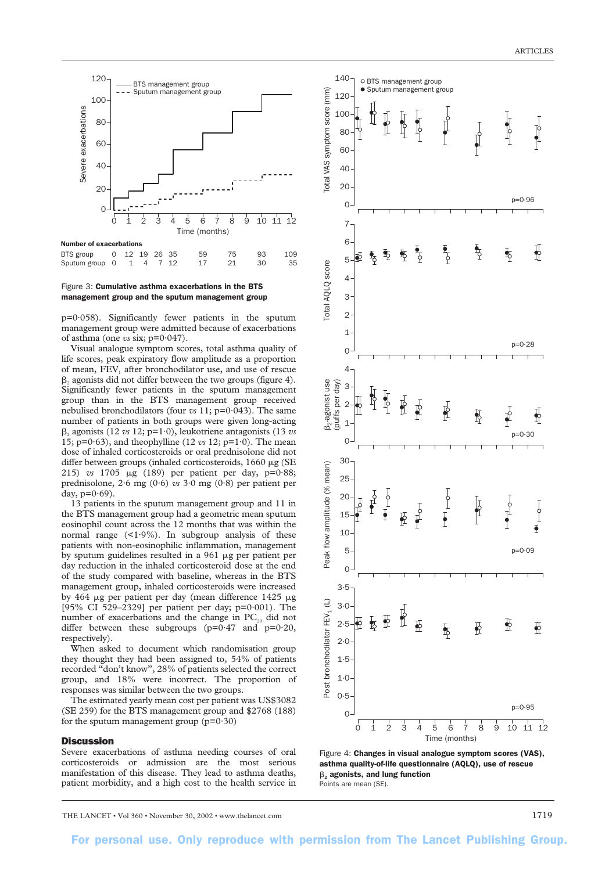

## Figure 3: Cumulative asthma exacerbations in the BTS management group and the sputum management group

p=0·058). Significantly fewer patients in the sputum management group were admitted because of exacerbations of asthma (one *vs* six; p=0·047).

Visual analogue symptom scores, total asthma quality of life scores, peak expiratory flow amplitude as a proportion of mean, FEV, after bronchodilator use, and use of rescue  $\beta_2$  agonists did not differ between the two groups (figure 4). Significantly fewer patients in the sputum management group than in the BTS management group received nebulised bronchodilators (four *vs* 11; p=0·043). The same number of patients in both groups were given long-acting -<sup>2</sup> agonists (12 *vs* 12; p=1·0), leukotriene antagonists (13 *vs* 15; p=0·63), and theophylline (12 *vs* 12; p=1·0). The mean dose of inhaled corticosteroids or oral prednisolone did not differ between groups (inhaled corticosteroids,  $1660 \mu$ g (SE 215) *vs* 1705 μg (189) per patient per day, p=0·88; prednisolone, 2·6 mg (0·6) *vs* 3·0 mg (0·8) per patient per day,  $p=0.69$ ).

13 patients in the sputum management group and 11 in the BTS management group had a geometric mean sputum eosinophil count across the 12 months that was within the normal range (<1·9%). In subgroup analysis of these patients with non-eosinophilic inflammation, management by sputum guidelines resulted in a  $961 \mu$ g per patient per day reduction in the inhaled corticosteroid dose at the end of the study compared with baseline, whereas in the BTS management group, inhaled corticosteroids were increased by 464  $\mu$ g per patient per day (mean difference 1425  $\mu$ g [95% CI 529–2329] per patient per day; p=0·001). The number of exacerbations and the change in  $PC_{20}$  did not differ between these subgroups  $(p=0.47$  and  $p=0.20$ , respectively).

When asked to document which randomisation group they thought they had been assigned to, 54% of patients recorded "don't know", 28% of patients selected the correct group, and 18% were incorrect. The proportion of responses was similar between the two groups.

The estimated yearly mean cost per patient was US\$3082 (SE 259) for the BTS management group and \$2768 (188) for the sputum management group  $(p=0.30)$ 

## Discussion

Severe exacerbations of asthma needing courses of oral corticosteroids or admission are the most serious manifestation of this disease. They lead to asthma deaths, patient morbidity, and a high cost to the health service in



Figure 4: Changes in visual analogue symptom scores (VAS), asthma quality-of-life questionnaire (AQLQ), use of rescue  $\beta_2$  agonists, and lung function Points are mean (SE).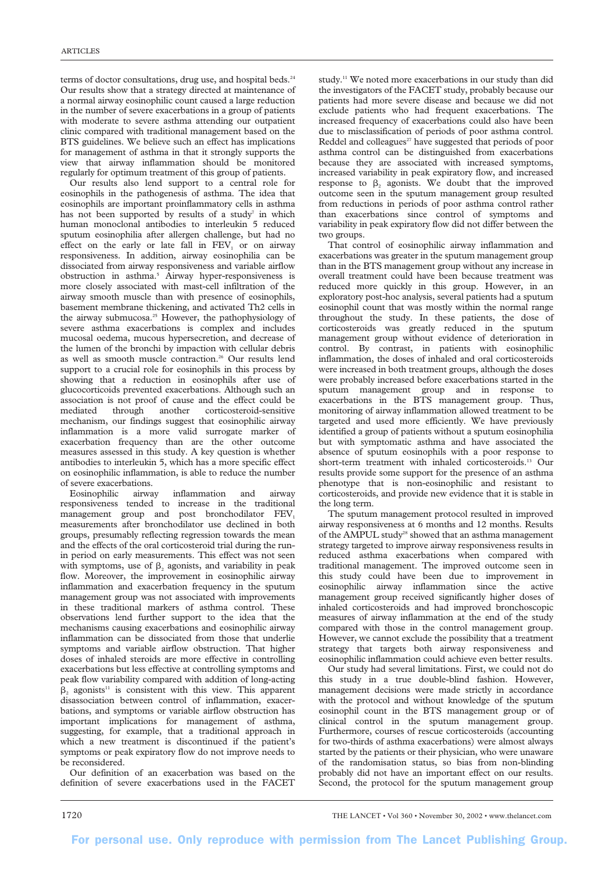terms of doctor consultations, drug use, and hospital beds.<sup>24</sup> Our results show that a strategy directed at maintenance of a normal airway eosinophilic count caused a large reduction in the number of severe exacerbations in a group of patients with moderate to severe asthma attending our outpatient clinic compared with traditional management based on the BTS guidelines. We believe such an effect has implications for management of asthma in that it strongly supports the view that airway inflammation should be monitored regularly for optimum treatment of this group of patients.

Our results also lend support to a central role for eosinophils in the pathogenesis of asthma. The idea that eosinophils are important proinflammatory cells in asthma has not been supported by results of a study<sup>7</sup> in which human monoclonal antibodies to interleukin 5 reduced sputum eosinophilia after allergen challenge, but had no effect on the early or late fall in FEV<sub>1</sub> or on airway responsiveness. In addition, airway eosinophilia can be dissociated from airway responsiveness and variable airflow obstruction in asthma.5 Airway hyper-responsiveness is more closely associated with mast-cell infiltration of the airway smooth muscle than with presence of eosinophils, basement membrane thickening, and activated Th2 cells in the airway submucosa.25 However, the pathophysiology of severe asthma exacerbations is complex and includes mucosal oedema, mucous hypersecretion, and decrease of the lumen of the bronchi by impaction with cellular debris as well as smooth muscle contraction.<sup>26</sup> Our results lend support to a crucial role for eosinophils in this process by showing that a reduction in eosinophils after use of glucocorticoids prevented exacerbations. Although such an association is not proof of cause and the effect could be mediated through another corticosteroid-sensitive mechanism, our findings suggest that eosinophilic airway inflammation is a more valid surrogate marker of exacerbation frequency than are the other outcome measures assessed in this study. A key question is whether antibodies to interleukin 5, which has a more specific effect on eosinophilic inflammation, is able to reduce the number of severe exacerbations.

airway inflammation and airway responsiveness tended to increase in the traditional management group and post bronchodilator FEV<sub>1</sub> measurements after bronchodilator use declined in both groups, presumably reflecting regression towards the mean and the effects of the oral corticosteroid trial during the runin period on early measurements. This effect was not seen with symptoms, use of  $\beta_2$  agonists, and variability in peak flow. Moreover, the improvement in eosinophilic airway inflammation and exacerbation frequency in the sputum management group was not associated with improvements in these traditional markers of asthma control. These observations lend further support to the idea that the mechanisms causing exacerbations and eosinophilic airway inflammation can be dissociated from those that underlie symptoms and variable airflow obstruction. That higher doses of inhaled steroids are more effective in controlling exacerbations but less effective at controlling symptoms and peak flow variability compared with addition of long-acting  $\beta_2$  agonists<sup>11</sup> is consistent with this view. This apparent disassociation between control of inflammation, exacerbations, and symptoms or variable airflow obstruction has important implications for management of asthma, suggesting, for example, that a traditional approach in which a new treatment is discontinued if the patient's symptoms or peak expiratory flow do not improve needs to be reconsidered.

Our definition of an exacerbation was based on the definition of severe exacerbations used in the FACET study.11 We noted more exacerbations in our study than did the investigators of the FACET study, probably because our patients had more severe disease and because we did not exclude patients who had frequent exacerbations. The increased frequency of exacerbations could also have been due to misclassification of periods of poor asthma control. Reddel and colleagues<sup>27</sup> have suggested that periods of poor asthma control can be distinguished from exacerbations because they are associated with increased symptoms, increased variability in peak expiratory flow, and increased response to  $\beta_2$  agonists. We doubt that the improved outcome seen in the sputum management group resulted from reductions in periods of poor asthma control rather than exacerbations since control of symptoms and variability in peak expiratory flow did not differ between the two groups.

That control of eosinophilic airway inflammation and exacerbations was greater in the sputum management group than in the BTS management group without any increase in overall treatment could have been because treatment was reduced more quickly in this group. However, in an exploratory post-hoc analysis, several patients had a sputum eosinophil count that was mostly within the normal range throughout the study. In these patients, the dose of corticosteroids was greatly reduced in the sputum management group without evidence of deterioration in control. By contrast, in patients with eosinophilic inflammation, the doses of inhaled and oral corticosteroids were increased in both treatment groups, although the doses were probably increased before exacerbations started in the sputum management group and in response to exacerbations in the BTS management group. Thus, monitoring of airway inflammation allowed treatment to be targeted and used more efficiently. We have previously identified a group of patients without a sputum eosinophilia but with symptomatic asthma and have associated the absence of sputum eosinophils with a poor response to short-term treatment with inhaled corticosteroids.<sup>13</sup> Our results provide some support for the presence of an asthma phenotype that is non-eosinophilic and resistant to corticosteroids, and provide new evidence that it is stable in the long term.

The sputum management protocol resulted in improved airway responsiveness at 6 months and 12 months. Results of the AMPUL study<sup>28</sup> showed that an asthma management strategy targeted to improve airway responsiveness results in reduced asthma exacerbations when compared with traditional management. The improved outcome seen in this study could have been due to improvement in eosinophilic airway inflammation since the active management group received significantly higher doses of inhaled corticosteroids and had improved bronchoscopic measures of airway inflammation at the end of the study compared with those in the control management group. However, we cannot exclude the possibility that a treatment strategy that targets both airway responsiveness and eosinophilic inflammation could achieve even better results.

Our study had several limitations. First, we could not do this study in a true double-blind fashion. However, management decisions were made strictly in accordance with the protocol and without knowledge of the sputum eosinophil count in the BTS management group or of clinical control in the sputum management group. Furthermore, courses of rescue corticosteroids (accounting for two-thirds of asthma exacerbations) were almost always started by the patients or their physician, who were unaware of the randomisation status, so bias from non-blinding probably did not have an important effect on our results. Second, the protocol for the sputum management group